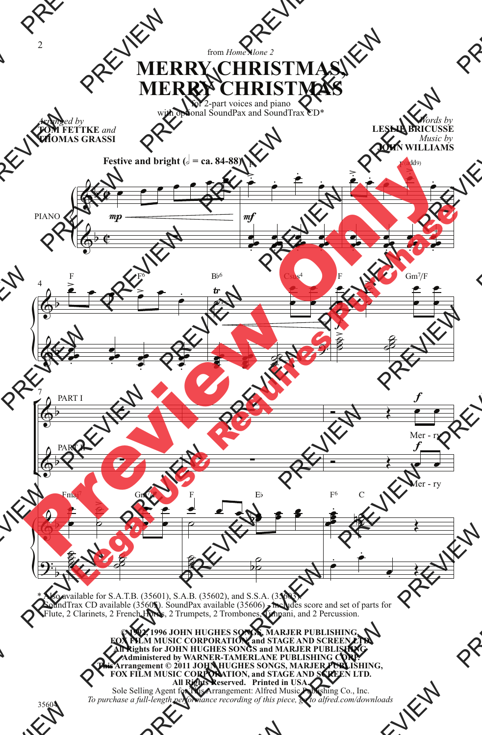## from *Home Alone 2* **MERRY CHRISTMAS, MERRY CHRISTMAS**

for 2-part voices and piano with optional SoundPax and SoundTrax CD\*

**TOM FETTKE** *and* **THOMAS GRASSI**

*Words by* **LESLIE BRICUSSE** *Music by* **JOHN WILLIAMS**



\* Also available for S.A.T.B. (35601), S.A.B. (35602), and S.S.A. (35603). SoundTrax CD available (35605). SoundPax available (35606) - includes score and set of parts for Flute, 2 Clarinets, 2 French Horns, 2 Trumpets, 2 Trombones, Timpani, and 2 Percussion.

> **© 1992, 1996 JOHN HUGHES SONGS, MARJER PUBLISHING, FOX FILM MUSIC CORPORATION, and STAGE AND SCREEN LTD. All Rights for JOHN HUGHES SONGS and MARJER PUBLISHING Administered by WARNER-TAMERLANE PUBLISHING CORP. This Arrangement © 2011 JOHN HUGHES SONGS, MARJER PUBLISHING, FOX FILM MUSIC CORPORATION, and STAGE AND SCREEN LTD. All Rights Reserved. Printed in USA.** Sole Selling Agent for This Arrangement: Alfred Music Publishing Co., Inc. *To purchase a full-length performance recording of this piece, go to alfred.com/downloads*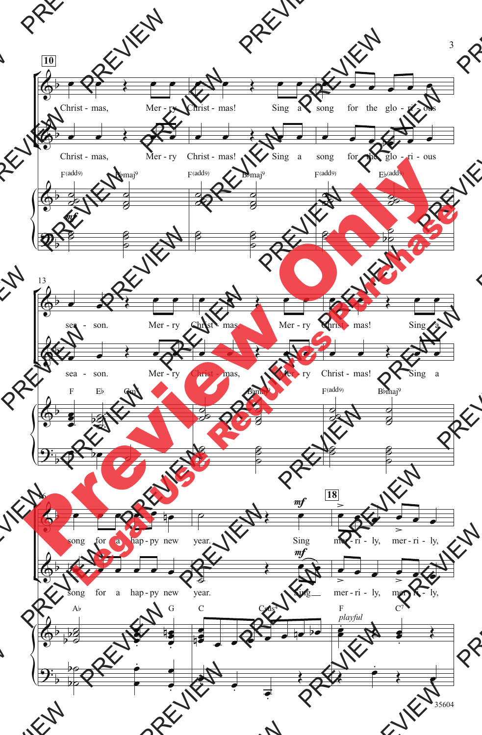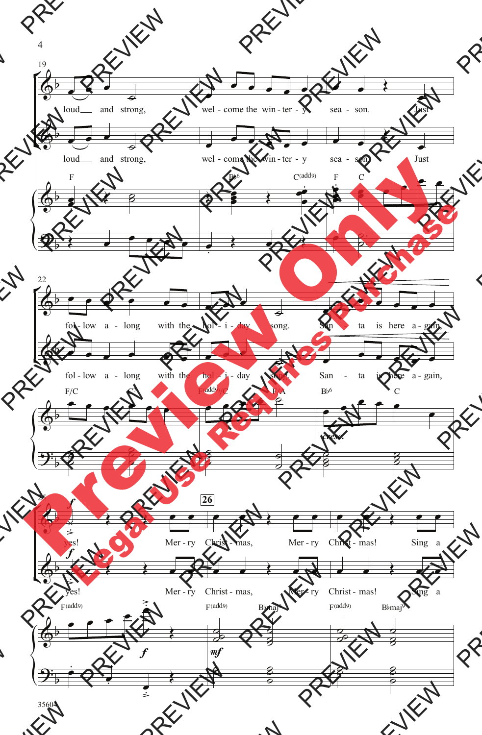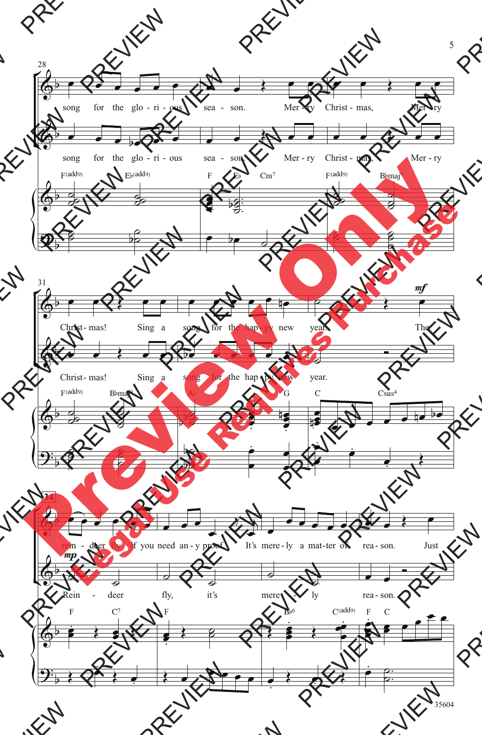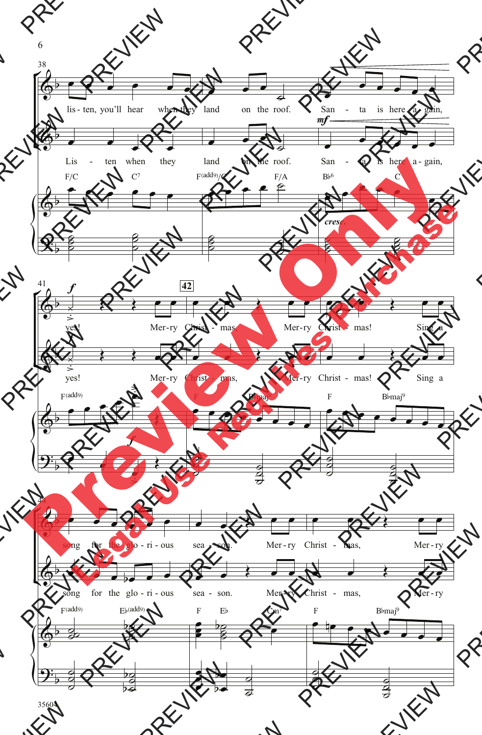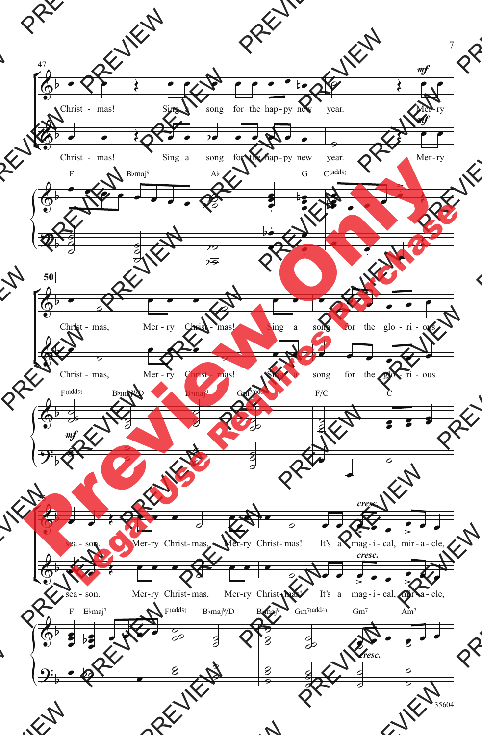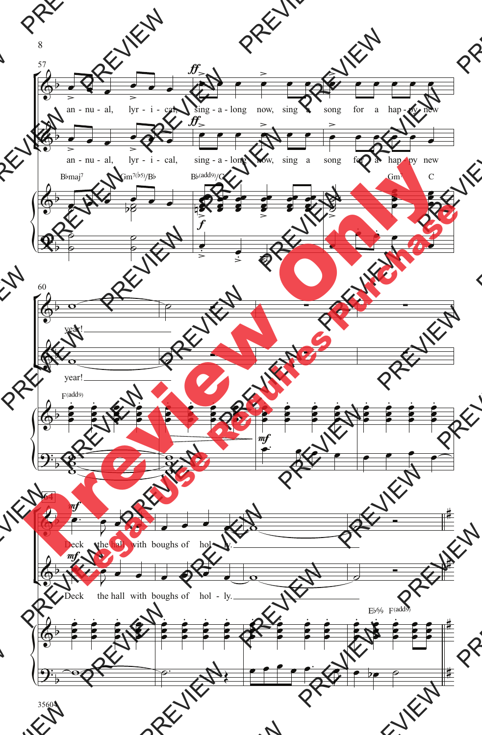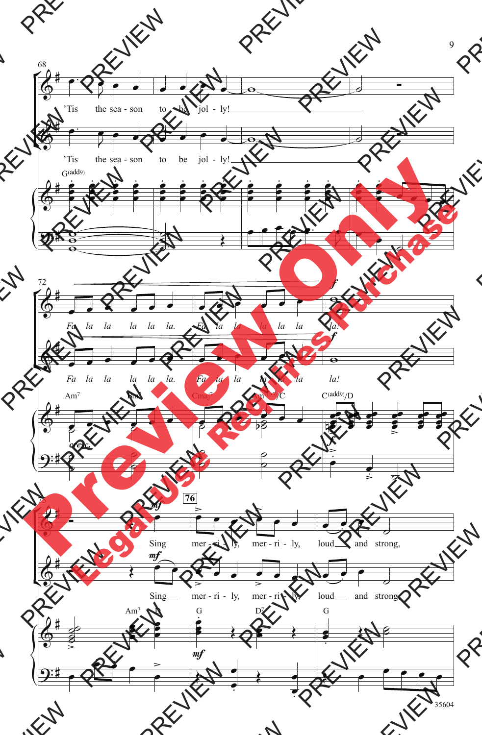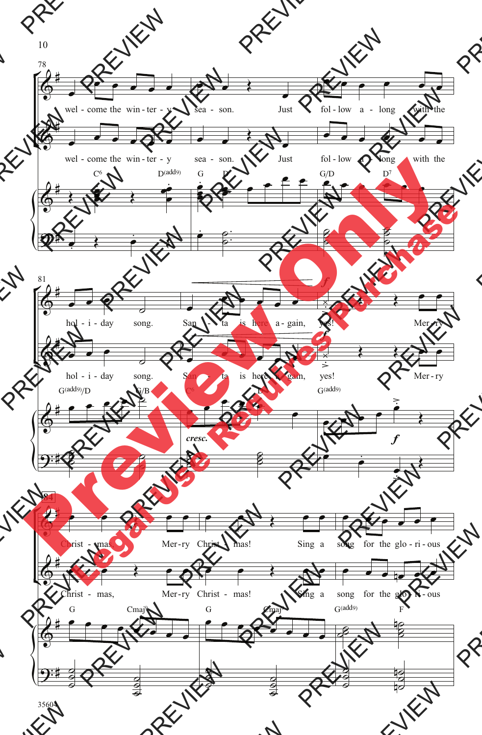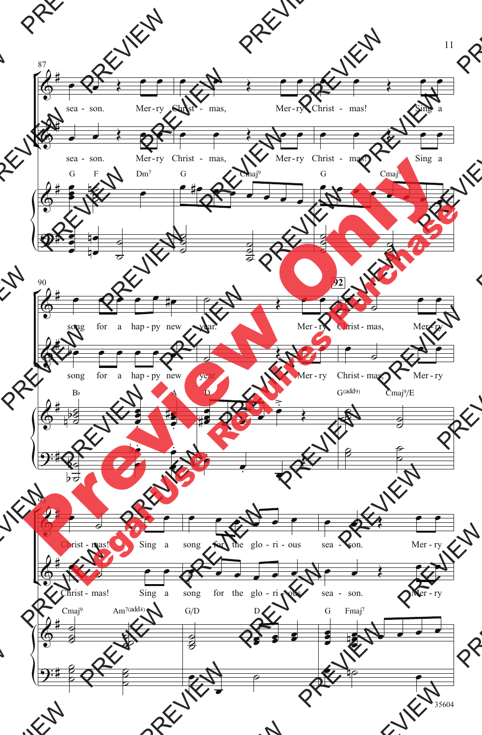